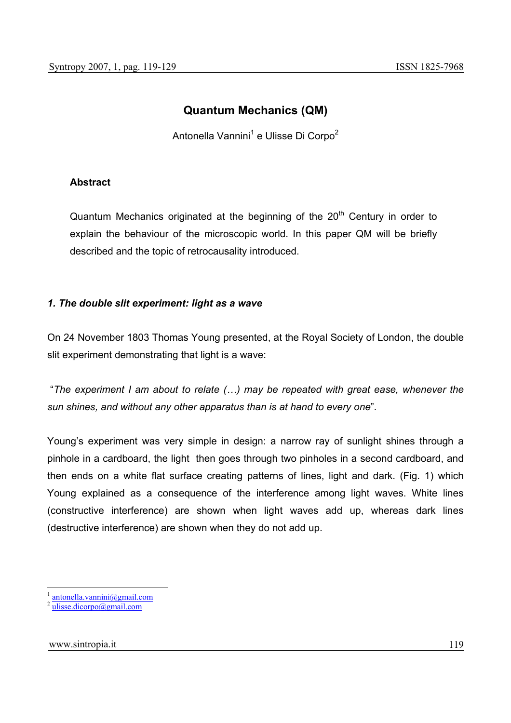# **Quantum Mechanics (QM)**

Antonella Vannini<sup>1</sup> e Ulisse Di Corpo<sup>2</sup>

# **Abstract**

Quantum Mechanics originated at the beginning of the  $20<sup>th</sup>$  Century in order to explain the behaviour of the microscopic world. In this paper QM will be briefly described and the topic of retrocausality introduced.

# *1. The double slit experiment: light as a wave*

On 24 November 1803 Thomas Young presented, at the Royal Society of London, the double slit experiment demonstrating that light is a wave:

 "*The experiment I am about to relate (…) may be repeated with great ease, whenever the sun shines, and without any other apparatus than is at hand to every one*".

Young's experiment was very simple in design: a narrow ray of sunlight shines through a pinhole in a cardboard, the light then goes through two pinholes in a second cardboard, and then ends on a white flat surface creating patterns of lines, light and dark. (Fig. 1) which Young explained as a consequence of the interference among light waves. White lines (constructive interference) are shown when light waves add up, whereas dark lines (destructive interference) are shown when they do not add up.

antonella.vannini@gmail.com

 $^{2}$  ulisse.dicorpo@gmail.com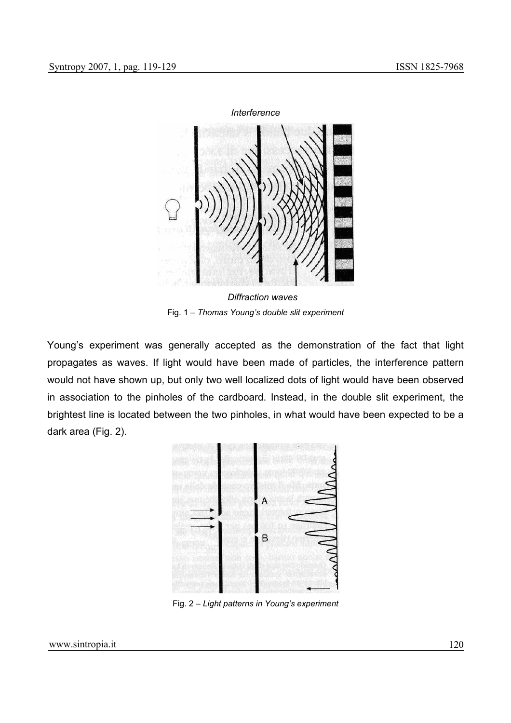

 *Diffraction waves*  Fig. 1 – *Thomas Young's double slit experiment* 

Young's experiment was generally accepted as the demonstration of the fact that light propagates as waves. If light would have been made of particles, the interference pattern would not have shown up, but only two well localized dots of light would have been observed in association to the pinholes of the cardboard. Instead, in the double slit experiment, the brightest line is located between the two pinholes, in what would have been expected to be a dark area (Fig. 2).



Fig. 2 – *Light patterns in Young's experiment*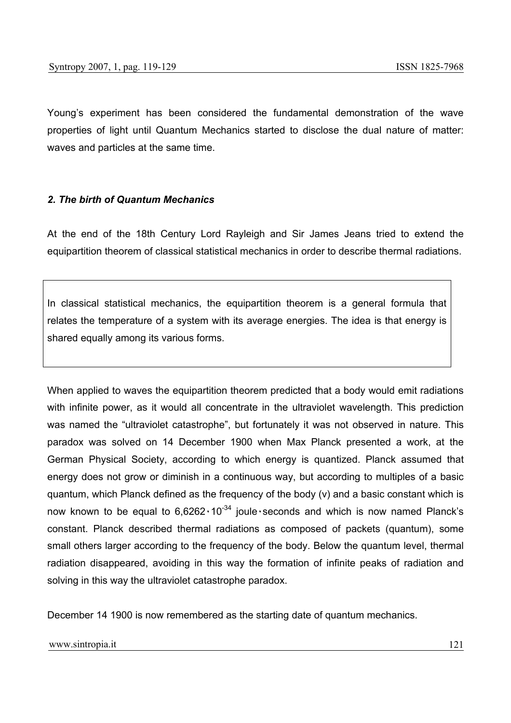Young's experiment has been considered the fundamental demonstration of the wave properties of light until Quantum Mechanics started to disclose the dual nature of matter: waves and particles at the same time.

#### *2. The birth of Quantum Mechanics*

At the end of the 18th Century Lord Rayleigh and Sir James Jeans tried to extend the equipartition theorem of classical statistical mechanics in order to describe thermal radiations.

In classical statistical mechanics, the equipartition theorem is a general formula that relates the temperature of a system with its average energies. The idea is that energy is shared equally among its various forms.

When applied to waves the equipartition theorem predicted that a body would emit radiations with infinite power, as it would all concentrate in the ultraviolet wavelength. This prediction was named the "ultraviolet catastrophe", but fortunately it was not observed in nature. This paradox was solved on 14 December 1900 when Max Planck presented a work, at the German Physical Society, according to which energy is quantized. Planck assumed that energy does not grow or diminish in a continuous way, but according to multiples of a basic quantum, which Planck defined as the frequency of the body (v) and a basic constant which is now known to be equal to  $6,6262 \cdot 10^{-34}$  joule seconds and which is now named Planck's constant. Planck described thermal radiations as composed of packets (quantum), some small others larger according to the frequency of the body. Below the quantum level, thermal radiation disappeared, avoiding in this way the formation of infinite peaks of radiation and solving in this way the ultraviolet catastrophe paradox.

December 14 1900 is now remembered as the starting date of quantum mechanics.

#### www.sintropia.it 121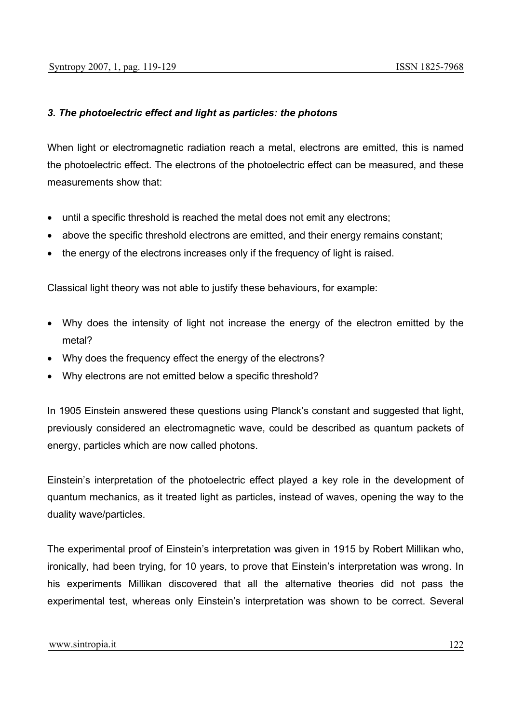## *3. The photoelectric effect and light as particles: the photons*

When light or electromagnetic radiation reach a metal, electrons are emitted, this is named the photoelectric effect. The electrons of the photoelectric effect can be measured, and these measurements show that:

- until a specific threshold is reached the metal does not emit any electrons;
- above the specific threshold electrons are emitted, and their energy remains constant;
- the energy of the electrons increases only if the frequency of light is raised.

Classical light theory was not able to justify these behaviours, for example:

- Why does the intensity of light not increase the energy of the electron emitted by the metal?
- Why does the frequency effect the energy of the electrons?
- Why electrons are not emitted below a specific threshold?

In 1905 Einstein answered these questions using Planck's constant and suggested that light, previously considered an electromagnetic wave, could be described as quantum packets of energy, particles which are now called photons.

Einstein's interpretation of the photoelectric effect played a key role in the development of quantum mechanics, as it treated light as particles, instead of waves, opening the way to the duality wave/particles.

The experimental proof of Einstein's interpretation was given in 1915 by Robert Millikan who, ironically, had been trying, for 10 years, to prove that Einstein's interpretation was wrong. In his experiments Millikan discovered that all the alternative theories did not pass the experimental test, whereas only Einstein's interpretation was shown to be correct. Several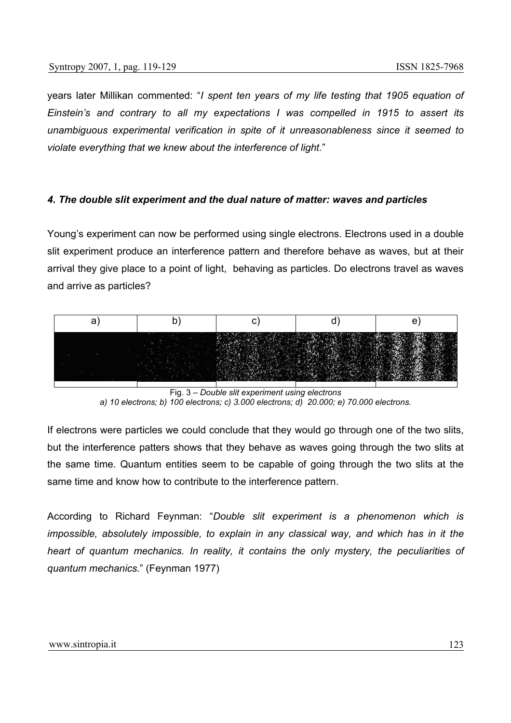years later Millikan commented: "*I spent ten years of my life testing that 1905 equation of Einstein's and contrary to all my expectations I was compelled in 1915 to assert its unambiguous experimental verification in spite of it unreasonableness since it seemed to violate everything that we knew about the interference of light.*"

#### *4. The double slit experiment and the dual nature of matter: waves and particles*

Young's experiment can now be performed using single electrons. Electrons used in a double slit experiment produce an interference pattern and therefore behave as waves, but at their arrival they give place to a point of light, behaving as particles. Do electrons travel as waves and arrive as particles?



Fig. 3 – *Double slit experiment using electrons a) 10 electrons; b) 100 electrons; c) 3.000 electrons; d) 20.000; e) 70.000 electrons.* 

If electrons were particles we could conclude that they would go through one of the two slits, but the interference patters shows that they behave as waves going through the two slits at the same time. Quantum entities seem to be capable of going through the two slits at the same time and know how to contribute to the interference pattern.

According to Richard Feynman: "*Double slit experiment is a phenomenon which is impossible, absolutely impossible, to explain in any classical way, and which has in it the heart of quantum mechanics. In reality, it contains the only mystery, the peculiarities of quantum mechanics.*" (Feynman 1977)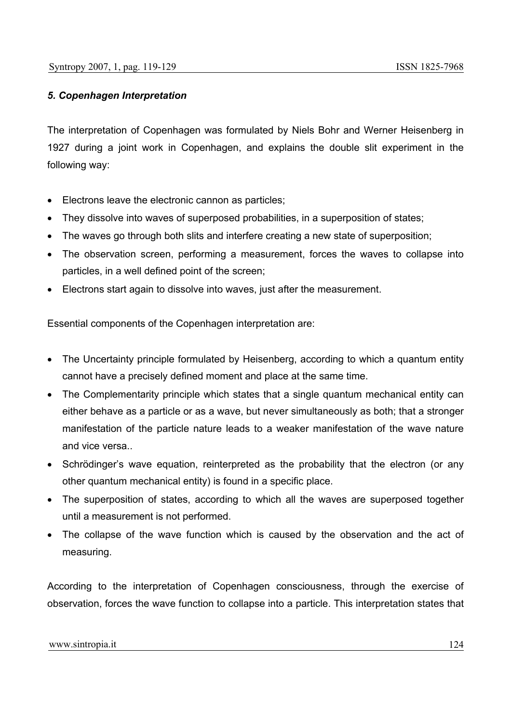### *5. Copenhagen Interpretation*

The interpretation of Copenhagen was formulated by Niels Bohr and Werner Heisenberg in 1927 during a joint work in Copenhagen, and explains the double slit experiment in the following way:

- Electrons leave the electronic cannon as particles;
- They dissolve into waves of superposed probabilities, in a superposition of states;
- The waves go through both slits and interfere creating a new state of superposition;
- The observation screen, performing a measurement, forces the waves to collapse into particles, in a well defined point of the screen;
- Electrons start again to dissolve into waves, just after the measurement.

Essential components of the Copenhagen interpretation are:

- The Uncertainty principle formulated by Heisenberg, according to which a quantum entity cannot have a precisely defined moment and place at the same time.
- The Complementarity principle which states that a single quantum mechanical entity can either behave as a particle or as a wave, but never simultaneously as both; that a stronger manifestation of the particle nature leads to a weaker manifestation of the wave nature and vice versa..
- Schrödinger's wave equation, reinterpreted as the probability that the electron (or any other quantum mechanical entity) is found in a specific place.
- The superposition of states, according to which all the waves are superposed together until a measurement is not performed.
- The collapse of the wave function which is caused by the observation and the act of measuring.

According to the interpretation of Copenhagen consciousness, through the exercise of observation, forces the wave function to collapse into a particle. This interpretation states that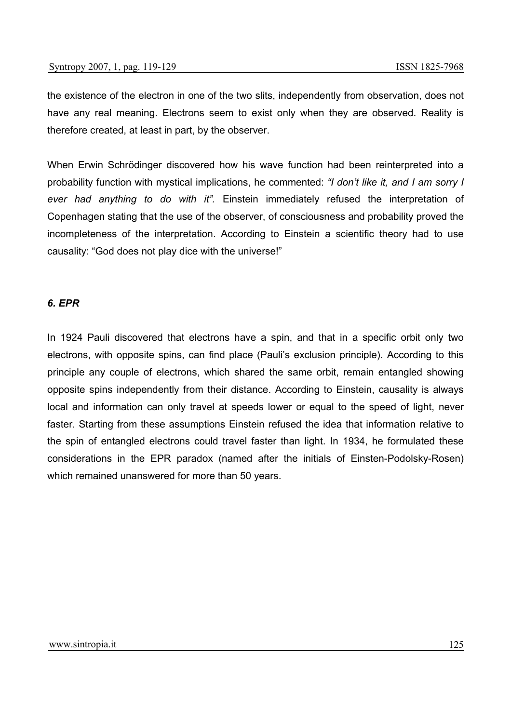the existence of the electron in one of the two slits, independently from observation, does not have any real meaning. Electrons seem to exist only when they are observed. Reality is therefore created, at least in part, by the observer.

When Erwin Schrödinger discovered how his wave function had been reinterpreted into a probability function with mystical implications, he commented: *"I don't like it, and I am sorry I ever had anything to do with it".* Einstein immediately refused the interpretation of Copenhagen stating that the use of the observer, of consciousness and probability proved the incompleteness of the interpretation. According to Einstein a scientific theory had to use causality: "God does not play dice with the universe!"

#### *6. EPR*

In 1924 Pauli discovered that electrons have a spin, and that in a specific orbit only two electrons, with opposite spins, can find place (Pauli's exclusion principle). According to this principle any couple of electrons, which shared the same orbit, remain entangled showing opposite spins independently from their distance. According to Einstein, causality is always local and information can only travel at speeds lower or equal to the speed of light, never faster. Starting from these assumptions Einstein refused the idea that information relative to the spin of entangled electrons could travel faster than light. In 1934, he formulated these considerations in the EPR paradox (named after the initials of Einsten-Podolsky-Rosen) which remained unanswered for more than 50 years.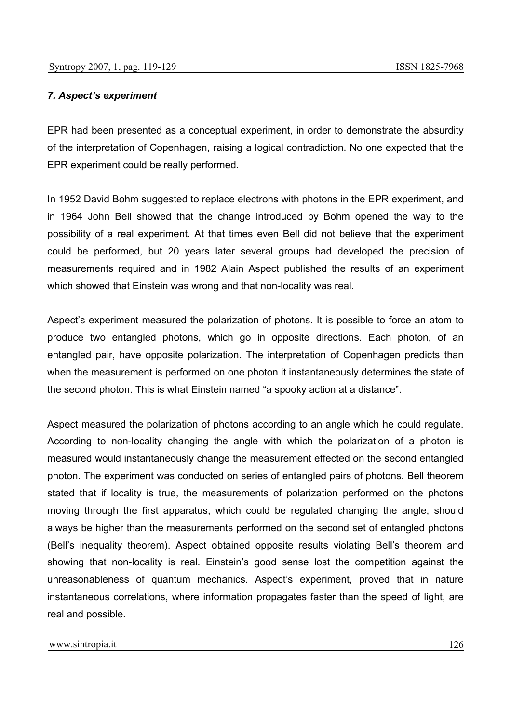#### *7. Aspect's experiment*

EPR had been presented as a conceptual experiment, in order to demonstrate the absurdity of the interpretation of Copenhagen, raising a logical contradiction. No one expected that the EPR experiment could be really performed.

In 1952 David Bohm suggested to replace electrons with photons in the EPR experiment, and in 1964 John Bell showed that the change introduced by Bohm opened the way to the possibility of a real experiment. At that times even Bell did not believe that the experiment could be performed, but 20 years later several groups had developed the precision of measurements required and in 1982 Alain Aspect published the results of an experiment which showed that Einstein was wrong and that non-locality was real.

Aspect's experiment measured the polarization of photons. It is possible to force an atom to produce two entangled photons, which go in opposite directions. Each photon, of an entangled pair, have opposite polarization. The interpretation of Copenhagen predicts than when the measurement is performed on one photon it instantaneously determines the state of the second photon. This is what Einstein named "a spooky action at a distance".

Aspect measured the polarization of photons according to an angle which he could regulate. According to non-locality changing the angle with which the polarization of a photon is measured would instantaneously change the measurement effected on the second entangled photon. The experiment was conducted on series of entangled pairs of photons. Bell theorem stated that if locality is true, the measurements of polarization performed on the photons moving through the first apparatus, which could be regulated changing the angle, should always be higher than the measurements performed on the second set of entangled photons (Bell's inequality theorem). Aspect obtained opposite results violating Bell's theorem and showing that non-locality is real. Einstein's good sense lost the competition against the unreasonableness of quantum mechanics. Aspect's experiment, proved that in nature instantaneous correlations, where information propagates faster than the speed of light, are real and possible.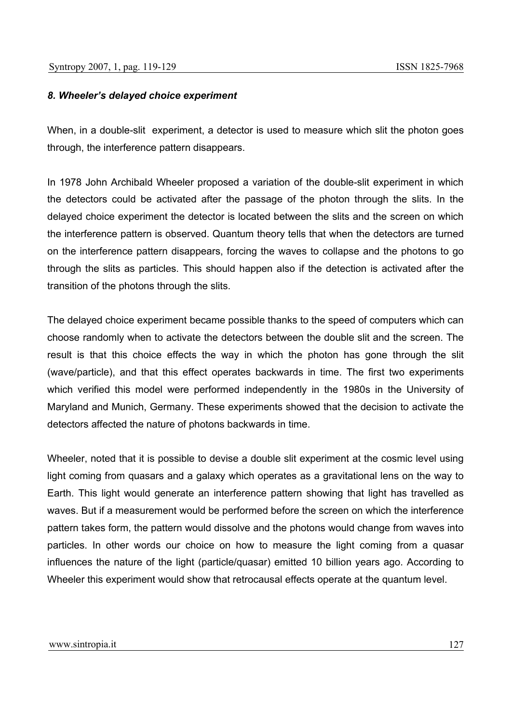# *8. Wheeler's delayed choice experiment*

When, in a double-slit experiment, a detector is used to measure which slit the photon goes through, the interference pattern disappears.

In 1978 John Archibald Wheeler proposed a variation of the double-slit experiment in which the detectors could be activated after the passage of the photon through the slits. In the delayed choice experiment the detector is located between the slits and the screen on which the interference pattern is observed. Quantum theory tells that when the detectors are turned on the interference pattern disappears, forcing the waves to collapse and the photons to go through the slits as particles. This should happen also if the detection is activated after the transition of the photons through the slits.

The delayed choice experiment became possible thanks to the speed of computers which can choose randomly when to activate the detectors between the double slit and the screen. The result is that this choice effects the way in which the photon has gone through the slit (wave/particle), and that this effect operates backwards in time. The first two experiments which verified this model were performed independently in the 1980s in the University of Maryland and Munich, Germany. These experiments showed that the decision to activate the detectors affected the nature of photons backwards in time.

Wheeler, noted that it is possible to devise a double slit experiment at the cosmic level using light coming from quasars and a galaxy which operates as a gravitational lens on the way to Earth. This light would generate an interference pattern showing that light has travelled as waves. But if a measurement would be performed before the screen on which the interference pattern takes form, the pattern would dissolve and the photons would change from waves into particles. In other words our choice on how to measure the light coming from a quasar influences the nature of the light (particle/quasar) emitted 10 billion years ago. According to Wheeler this experiment would show that retrocausal effects operate at the quantum level.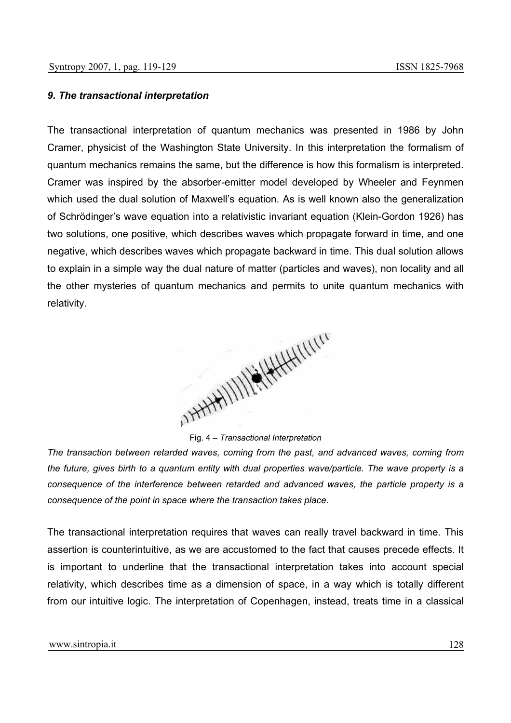#### *9. The transactional interpretation*

The transactional interpretation of quantum mechanics was presented in 1986 by John Cramer, physicist of the Washington State University. In this interpretation the formalism of quantum mechanics remains the same, but the difference is how this formalism is interpreted. Cramer was inspired by the absorber-emitter model developed by Wheeler and Feynmen which used the dual solution of Maxwell's equation. As is well known also the generalization of Schrödinger's wave equation into a relativistic invariant equation (Klein-Gordon 1926) has two solutions, one positive, which describes waves which propagate forward in time, and one negative, which describes waves which propagate backward in time. This dual solution allows to explain in a simple way the dual nature of matter (particles and waves), non locality and all the other mysteries of quantum mechanics and permits to unite quantum mechanics with relativity.

Fig. 4 – *Transactional Interpretation* 

*The transaction between retarded waves, coming from the past, and advanced waves, coming from the future, gives birth to a quantum entity with dual properties wave/particle. The wave property is a consequence of the interference between retarded and advanced waves, the particle property is a consequence of the point in space where the transaction takes place.* 

The transactional interpretation requires that waves can really travel backward in time. This assertion is counterintuitive, as we are accustomed to the fact that causes precede effects. It is important to underline that the transactional interpretation takes into account special relativity, which describes time as a dimension of space, in a way which is totally different from our intuitive logic. The interpretation of Copenhagen, instead, treats time in a classical